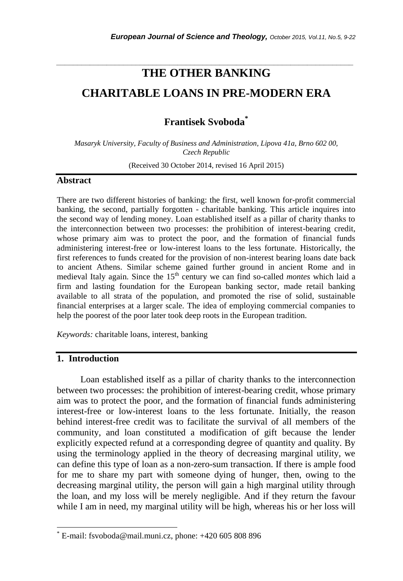# **THE OTHER BANKING CHARITABLE LOANS IN PRE-MODERN ERA**

*\_\_\_\_\_\_\_\_\_\_\_\_\_\_\_\_\_\_\_\_\_\_\_\_\_\_\_\_\_\_\_\_\_\_\_\_\_\_\_\_\_\_\_\_\_\_\_\_\_\_\_\_\_\_\_\_\_\_\_\_\_\_\_\_\_\_\_\_\_\_\_*

**Frantisek Svoboda\***

*Masaryk University, Faculty of Business and Administration, Lipova 41a, Brno 602 00, Czech Republic*

(Received 30 October 2014, revised 16 April 2015)

## **Abstract**

There are two different histories of banking: the first, well known for-profit commercial banking, the second, partially forgotten - charitable banking. This article inquires into the second way of lending money. Loan established itself as a pillar of charity thanks to the interconnection between two processes: the prohibition of interest-bearing credit, whose primary aim was to protect the poor, and the formation of financial funds administering interest-free or low-interest loans to the less fortunate. Historically, the first references to funds created for the provision of non-interest bearing loans date back to ancient Athens. Similar scheme gained further ground in ancient Rome and in medieval Italy again. Since the 15<sup>th</sup> century we can find so-called *montes* which laid a firm and lasting foundation for the European banking sector, made retail banking available to all strata of the population, and promoted the rise of solid, sustainable financial enterprises at a larger scale. The idea of employing commercial companies to help the poorest of the poor later took deep roots in the European tradition.

*Keywords:* charitable loans, interest, banking

## **1. Introduction**

l

Loan established itself as a pillar of charity thanks to the interconnection between two processes: the prohibition of interest-bearing credit, whose primary aim was to protect the poor, and the formation of financial funds administering interest-free or low-interest loans to the less fortunate. Initially, the reason behind interest-free credit was to facilitate the survival of all members of the community, and loan constituted a modification of gift because the lender explicitly expected refund at a corresponding degree of quantity and quality. By using the terminology applied in the theory of decreasing marginal utility, we can define this type of loan as a non-zero-sum transaction. If there is ample food for me to share my part with someone dying of hunger, then, owing to the decreasing marginal utility, the person will gain a high marginal utility through the loan, and my loss will be merely negligible. And if they return the favour while I am in need, my marginal utility will be high, whereas his or her loss will

E-mail: fsvoboda@mail.muni.cz, phone: +420 605 808 896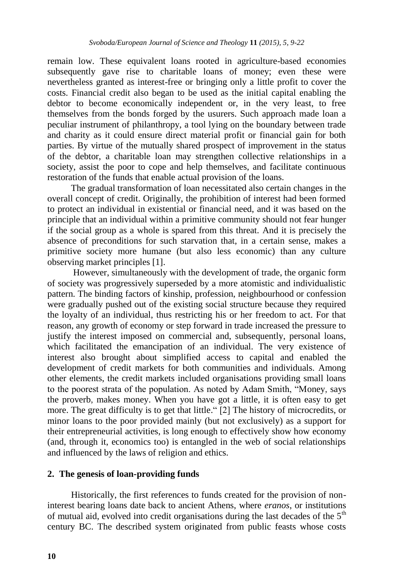remain low. These equivalent loans rooted in agriculture-based economies subsequently gave rise to charitable loans of money; even these were nevertheless granted as interest-free or bringing only a little profit to cover the costs. Financial credit also began to be used as the initial capital enabling the debtor to become economically independent or, in the very least, to free themselves from the bonds forged by the usurers. Such approach made loan a peculiar instrument of philanthropy, a tool lying on the boundary between trade and charity as it could ensure direct material profit or financial gain for both parties. By virtue of the mutually shared prospect of improvement in the status of the debtor, a charitable loan may strengthen collective relationships in a society, assist the poor to cope and help themselves, and facilitate continuous restoration of the funds that enable actual provision of the loans.

The gradual transformation of loan necessitated also certain changes in the overall concept of credit. Originally, the prohibition of interest had been formed to protect an individual in existential or financial need, and it was based on the principle that an individual within a primitive community should not fear hunger if the social group as a whole is spared from this threat. And it is precisely the absence of preconditions for such starvation that, in a certain sense, makes a primitive society more humane (but also less economic) than any culture observing market principles [1].

However, simultaneously with the development of trade, the organic form of society was progressively superseded by a more atomistic and individualistic pattern. The binding factors of kinship, profession, neighbourhood or confession were gradually pushed out of the existing social structure because they required the loyalty of an individual, thus restricting his or her freedom to act. For that reason, any growth of economy or step forward in trade increased the pressure to justify the interest imposed on commercial and, subsequently, personal loans, which facilitated the emancipation of an individual. The very existence of interest also brought about simplified access to capital and enabled the development of credit markets for both communities and individuals. Among other elements, the credit markets included organisations providing small loans to the poorest strata of the population. As noted by Adam Smith, "Money, says the proverb, makes money. When you have got a little, it is often easy to get more. The great difficulty is to get that little." [2] The history of microcredits, or minor loans to the poor provided mainly (but not exclusively) as a support for their entrepreneurial activities, is long enough to effectively show how economy (and, through it, economics too) is entangled in the web of social relationships and influenced by the laws of religion and ethics.

#### **2. The genesis of loan-providing funds**

Historically, the first references to funds created for the provision of noninterest bearing loans date back to ancient Athens, where *eranos*, or institutions of mutual aid, evolved into credit organisations during the last decades of the  $5<sup>th</sup>$ century BC. The described system originated from public feasts whose costs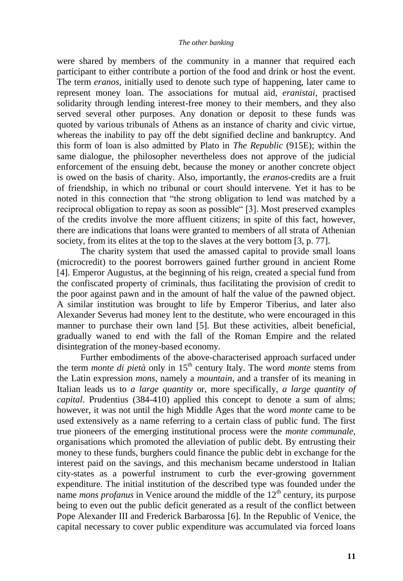#### *The other banking*

were shared by members of the community in a manner that required each participant to either contribute a portion of the food and drink or host the event. The term *eranos*, initially used to denote such type of happening, later came to represent money loan. The associations for mutual aid, *eranistai*, practised solidarity through lending interest-free money to their members, and they also served several other purposes. Any donation or deposit to these funds was quoted by various tribunals of Athens as an instance of charity and civic virtue, whereas the inability to pay off the debt signified decline and bankruptcy. And this form of loan is also admitted by Plato in *The Republic* (915E); within the same dialogue, the philosopher nevertheless does not approve of the judicial enforcement of the ensuing debt, because the money or another concrete object is owed on the basis of charity. Also, importantly, the *eranos*-credits are a fruit of friendship, in which no tribunal or court should intervene. Yet it has to be noted in this connection that "the strong obligation to lend was matched by a reciprocal obligation to repay as soon as possible" [3]. Most preserved examples of the credits involve the more affluent citizens; in spite of this fact, however, there are indications that loans were granted to members of all strata of Athenian society, from its elites at the top to the slaves at the very bottom [3, p. 77].

The charity system that used the amassed capital to provide small loans (microcredit) to the poorest borrowers gained further ground in ancient Rome [4]. Emperor Augustus, at the beginning of his reign, created a special fund from the confiscated property of criminals, thus facilitating the provision of credit to the poor against pawn and in the amount of half the value of the pawned object. A similar institution was brought to life by Emperor Tiberius, and later also Alexander Severus had money lent to the destitute, who were encouraged in this manner to purchase their own land [5]. But these activities, albeit beneficial, gradually waned to end with the fall of the Roman Empire and the related disintegration of the money-based economy.

Further embodiments of the above-characterised approach surfaced under the term *monte di pietà* only in 15<sup>th</sup> century Italy. The word *monte* stems from the Latin expression *mons*, namely a *mountain*, and a transfer of its meaning in Italian leads us to *a large quantity* or, more specifically, *a large quantity of capital*. Prudentius (384-410) applied this concept to denote a sum of alms; however, it was not until the high Middle Ages that the word *monte* came to be used extensively as a name referring to a certain class of public fund. The first true pioneers of the emerging institutional process were the *monte communale*, organisations which promoted the alleviation of public debt. By entrusting their money to these funds, burghers could finance the public debt in exchange for the interest paid on the savings, and this mechanism became understood in Italian city-states as a powerful instrument to curb the ever-growing government expenditure. The initial institution of the described type was founded under the name *mons profanus* in Venice around the middle of the  $12<sup>th</sup>$  century, its purpose being to even out the public deficit generated as a result of the conflict between Pope Alexander III and Frederick Barbarossa [6]. In the Republic of Venice, the capital necessary to cover public expenditure was accumulated via forced loans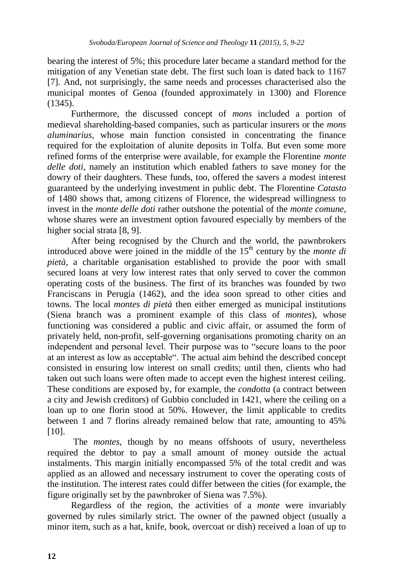bearing the interest of 5%; this procedure later became a standard method for the mitigation of any Venetian state debt. The first such loan is dated back to 1167 [7]. And, not surprisingly, the same needs and processes characterised also the municipal montes of Genoa (founded approximately in 1300) and Florence (1345).

Furthermore, the discussed concept of *mons* included a portion of medieval shareholding-based companies, such as particular insurers or the *mons aluminarius*, whose main function consisted in concentrating the finance required for the exploitation of alunite deposits in Tolfa. But even some more refined forms of the enterprise were available, for example the Florentine *monte delle doti*, namely an institution which enabled fathers to save money for the dowry of their daughters. These funds, too, offered the savers a modest interest guaranteed by the underlying investment in public debt. The Florentine *Catasto* of 1480 shows that, among citizens of Florence, the widespread willingness to invest in the *monte delle doti* rather outshone the potential of the *monte comune*, whose shares were an investment option favoured especially by members of the higher social strata [8, 9].

After being recognised by the Church and the world, the pawnbrokers introduced above were joined in the middle of the  $15<sup>th</sup>$  century by the *monte di pietà*, a charitable organisation established to provide the poor with small secured loans at very low interest rates that only served to cover the common operating costs of the business. The first of its branches was founded by two Franciscans in Perugia (1462), and the idea soon spread to other cities and towns. The local *montes di pietà* then either emerged as municipal institutions (Siena branch was a prominent example of this class of *montes*), whose functioning was considered a public and civic affair, or assumed the form of privately held, non-profit, self-governing organisations promoting charity on an independent and personal level. Their purpose was to "secure loans to the poor at an interest as low as acceptable". The actual aim behind the described concept consisted in ensuring low interest on small credits; until then, clients who had taken out such loans were often made to accept even the highest interest ceiling. These conditions are exposed by, for example, the *condotta* (a contract between a city and Jewish creditors) of Gubbio concluded in 1421, where the ceiling on a loan up to one florin stood at 50%. However, the limit applicable to credits between 1 and 7 florins already remained below that rate, amounting to 45% [10].

The *montes*, though by no means offshoots of usury, nevertheless required the debtor to pay a small amount of money outside the actual instalments. This margin initially encompassed 5% of the total credit and was applied as an allowed and necessary instrument to cover the operating costs of the institution. The interest rates could differ between the cities (for example, the figure originally set by the pawnbroker of Siena was 7.5%).

Regardless of the region, the activities of a *monte* were invariably governed by rules similarly strict. The owner of the pawned object (usually a minor item, such as a hat, knife, book, overcoat or dish) received a loan of up to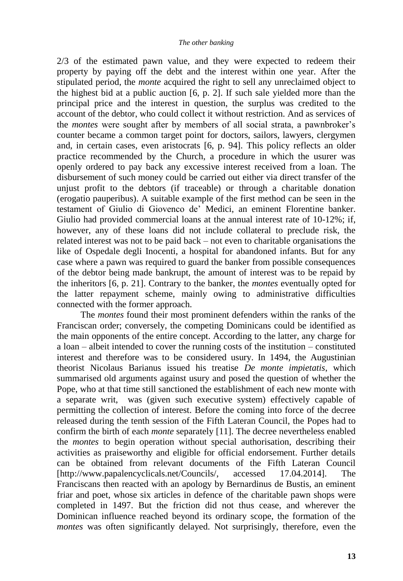2/3 of the estimated pawn value, and they were expected to redeem their property by paying off the debt and the interest within one year. After the stipulated period, the *monte* acquired the right to sell any unreclaimed object to the highest bid at a public auction [6, p. 2]. If such sale yielded more than the principal price and the interest in question, the surplus was credited to the account of the debtor, who could collect it without restriction. And as services of the *montes* were sought after by members of all social strata, a pawnbroker's counter became a common target point for doctors, sailors, lawyers, clergymen and, in certain cases, even aristocrats [6, p. 94]. This policy reflects an older practice recommended by the Church, a procedure in which the usurer was openly ordered to pay back any excessive interest received from a loan. The disbursement of such money could be carried out either via direct transfer of the unjust profit to the debtors (if traceable) or through a charitable donation (erogatio pauperibus). A suitable example of the first method can be seen in the testament of Giulio di Giovenco de' Medici, an eminent Florentine banker. Giulio had provided commercial loans at the annual interest rate of 10-12%; if, however, any of these loans did not include collateral to preclude risk, the related interest was not to be paid back – not even to charitable organisations the like of Ospedale degli Inocenti, a hospital for abandoned infants. But for any case where a pawn was required to guard the banker from possible consequences of the debtor being made bankrupt, the amount of interest was to be repaid by the inheritors [6, p. 21]. Contrary to the banker, the *montes* eventually opted for the latter repayment scheme, mainly owing to administrative difficulties connected with the former approach.

The *montes* found their most prominent defenders within the ranks of the Franciscan order; conversely, the competing Dominicans could be identified as the main opponents of the entire concept. According to the latter, any charge for a loan – albeit intended to cover the running costs of the institution – constituted interest and therefore was to be considered usury. In 1494, the Augustinian theorist Nicolaus Barianus issued his treatise *De monte impietatis*, which summarised old arguments against usury and posed the question of whether the Pope, who at that time still sanctioned the establishment of each new monte with a separate writ, was (given such executive system) effectively capable of permitting the collection of interest. Before the coming into force of the decree released during the tenth session of the Fifth Lateran Council, the Popes had to confirm the birth of each *monte* separately [11]. The decree nevertheless enabled the *montes* to begin operation without special authorisation, describing their activities as praiseworthy and eligible for official endorsement. Further details can be obtained from relevant documents of the Fifth Lateran Council [http://www.papalencyclicals.net/Councils/, accessed 17.04.2014]. The Franciscans then reacted with an apology by Bernardinus de Bustis, an eminent friar and poet, whose six articles in defence of the charitable pawn shops were completed in 1497. But the friction did not thus cease, and wherever the Dominican influence reached beyond its ordinary scope, the formation of the *montes* was often significantly delayed. Not surprisingly, therefore, even the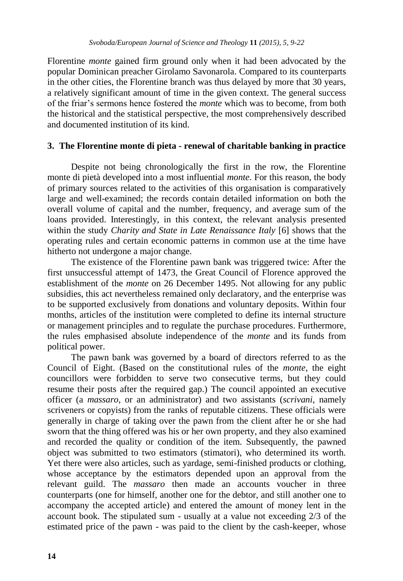Florentine *monte* gained firm ground only when it had been advocated by the popular Dominican preacher Girolamo Savonarola. Compared to its counterparts in the other cities, the Florentine branch was thus delayed by more that 30 years, a relatively significant amount of time in the given context. The general success of the friar's sermons hence fostered the *monte* which was to become, from both the historical and the statistical perspective, the most comprehensively described and documented institution of its kind.

## **3. The Florentine monte di pieta - renewal of charitable banking in practice**

Despite not being chronologically the first in the row, the Florentine monte di pietà developed into a most influential *monte*. For this reason, the body of primary sources related to the activities of this organisation is comparatively large and well-examined; the records contain detailed information on both the overall volume of capital and the number, frequency, and average sum of the loans provided. Interestingly, in this context, the relevant analysis presented within the study *Charity and State in Late Renaissance Italy* [6] shows that the operating rules and certain economic patterns in common use at the time have hitherto not undergone a major change.

The existence of the Florentine pawn bank was triggered twice: After the first unsuccessful attempt of 1473, the Great Council of Florence approved the establishment of the *monte* on 26 December 1495. Not allowing for any public subsidies, this act nevertheless remained only declaratory, and the enterprise was to be supported exclusively from donations and voluntary deposits. Within four months, articles of the institution were completed to define its internal structure or management principles and to regulate the purchase procedures. Furthermore, the rules emphasised absolute independence of the *monte* and its funds from political power.

The pawn bank was governed by a board of directors referred to as the Council of Eight. (Based on the constitutional rules of the *monte*, the eight councillors were forbidden to serve two consecutive terms, but they could resume their posts after the required gap.) The council appointed an executive officer (a *massaro*, or an administrator) and two assistants (*scrivani*, namely scriveners or copyists) from the ranks of reputable citizens. These officials were generally in charge of taking over the pawn from the client after he or she had sworn that the thing offered was his or her own property, and they also examined and recorded the quality or condition of the item. Subsequently, the pawned object was submitted to two estimators (stimatori), who determined its worth. Yet there were also articles, such as yardage, semi-finished products or clothing, whose acceptance by the estimators depended upon an approval from the relevant guild. The *massaro* then made an accounts voucher in three counterparts (one for himself, another one for the debtor, and still another one to accompany the accepted article) and entered the amount of money lent in the account book. The stipulated sum - usually at a value not exceeding 2/3 of the estimated price of the pawn - was paid to the client by the cash-keeper, whose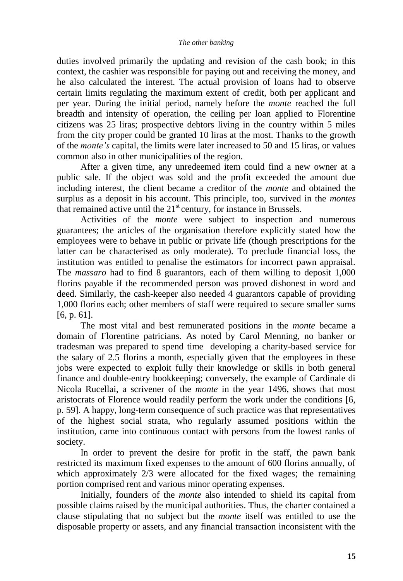#### *The other banking*

duties involved primarily the updating and revision of the cash book; in this context, the cashier was responsible for paying out and receiving the money, and he also calculated the interest. The actual provision of loans had to observe certain limits regulating the maximum extent of credit, both per applicant and per year. During the initial period, namely before the *monte* reached the full breadth and intensity of operation, the ceiling per loan applied to Florentine citizens was 25 liras; prospective debtors living in the country within 5 miles from the city proper could be granted 10 liras at the most. Thanks to the growth of the *monte's* capital, the limits were later increased to 50 and 15 liras, or values common also in other municipalities of the region.

After a given time, any unredeemed item could find a new owner at a public sale. If the object was sold and the profit exceeded the amount due including interest, the client became a creditor of the *monte* and obtained the surplus as a deposit in his account. This principle, too, survived in the *montes* that remained active until the  $21<sup>st</sup>$  century, for instance in Brussels.

Activities of the *monte* were subject to inspection and numerous guarantees; the articles of the organisation therefore explicitly stated how the employees were to behave in public or private life (though prescriptions for the latter can be characterised as only moderate). To preclude financial loss, the institution was entitled to penalise the estimators for incorrect pawn appraisal. The *massaro* had to find 8 guarantors, each of them willing to deposit 1,000 florins payable if the recommended person was proved dishonest in word and deed. Similarly, the cash-keeper also needed 4 guarantors capable of providing 1,000 florins each; other members of staff were required to secure smaller sums [6, p. 61].

The most vital and best remunerated positions in the *monte* became a domain of Florentine patricians. As noted by Carol Menning, no banker or tradesman was prepared to spend time developing a charity-based service for the salary of 2.5 florins a month, especially given that the employees in these jobs were expected to exploit fully their knowledge or skills in both general finance and double-entry bookkeeping; conversely, the example of Cardinale di Nicola Rucellai, a scrivener of the *monte* in the year 1496, shows that most aristocrats of Florence would readily perform the work under the conditions [6, p. 59]. A happy, long-term consequence of such practice was that representatives of the highest social strata, who regularly assumed positions within the institution, came into continuous contact with persons from the lowest ranks of society.

In order to prevent the desire for profit in the staff, the pawn bank restricted its maximum fixed expenses to the amount of 600 florins annually, of which approximately 2/3 were allocated for the fixed wages; the remaining portion comprised rent and various minor operating expenses.

Initially, founders of the *monte* also intended to shield its capital from possible claims raised by the municipal authorities. Thus, the charter contained a clause stipulating that no subject but the *monte* itself was entitled to use the disposable property or assets, and any financial transaction inconsistent with the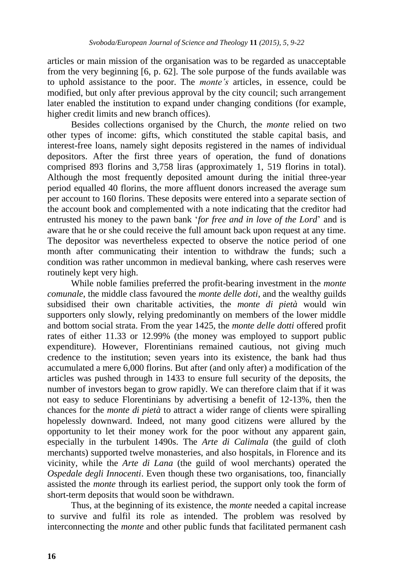articles or main mission of the organisation was to be regarded as unacceptable from the very beginning [6, p. 62]. The sole purpose of the funds available was to uphold assistance to the poor. The *monte's* articles, in essence, could be modified, but only after previous approval by the city council; such arrangement later enabled the institution to expand under changing conditions (for example, higher credit limits and new branch offices).

Besides collections organised by the Church, the *monte* relied on two other types of income: gifts, which constituted the stable capital basis, and interest-free loans, namely sight deposits registered in the names of individual depositors. After the first three years of operation, the fund of donations comprised 893 florins and 3,758 liras (approximately 1, 519 florins in total). Although the most frequently deposited amount during the initial three-year period equalled 40 florins, the more affluent donors increased the average sum per account to 160 florins. These deposits were entered into a separate section of the account book and complemented with a note indicating that the creditor had entrusted his money to the pawn bank '*for free and in love of the Lord*' and is aware that he or she could receive the full amount back upon request at any time. The depositor was nevertheless expected to observe the notice period of one month after communicating their intention to withdraw the funds; such a condition was rather uncommon in medieval banking, where cash reserves were routinely kept very high.

While noble families preferred the profit-bearing investment in the *monte comunale*, the middle class favoured the *monte delle doti*, and the wealthy guilds subsidised their own charitable activities, the *monte di pietà* would win supporters only slowly, relying predominantly on members of the lower middle and bottom social strata. From the year 1425, the *monte delle dotti* offered profit rates of either 11.33 or 12.99% (the money was employed to support public expenditure). However, Florentinians remained cautious, not giving much credence to the institution; seven years into its existence, the bank had thus accumulated a mere 6,000 florins. But after (and only after) a modification of the articles was pushed through in 1433 to ensure full security of the deposits, the number of investors began to grow rapidly. We can therefore claim that if it was not easy to seduce Florentinians by advertising a benefit of 12-13%, then the chances for the *monte di pietà* to attract a wider range of clients were spiralling hopelessly downward. Indeed, not many good citizens were allured by the opportunity to let their money work for the poor without any apparent gain, especially in the turbulent 1490s. The *Arte di Calimala* (the guild of cloth merchants) supported twelve monasteries, and also hospitals, in Florence and its vicinity, while the *Arte di Lana* (the guild of wool merchants) operated the *Ospedale degli Innocenti*. Even though these two organisations, too, financially assisted the *monte* through its earliest period, the support only took the form of short-term deposits that would soon be withdrawn.

Thus, at the beginning of its existence, the *monte* needed a capital increase to survive and fulfil its role as intended. The problem was resolved by interconnecting the *monte* and other public funds that facilitated permanent cash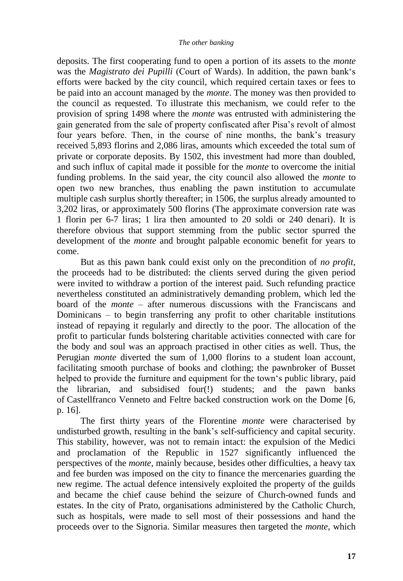deposits. The first cooperating fund to open a portion of its assets to the *monte* was the *Magistrato dei Pupilli* (Court of Wards). In addition, the pawn bank's efforts were backed by the city council, which required certain taxes or fees to be paid into an account managed by the *monte*. The money was then provided to the council as requested. To illustrate this mechanism, we could refer to the provision of spring 1498 where the *monte* was entrusted with administering the gain generated from the sale of property confiscated after Pisa's revolt of almost four years before. Then, in the course of nine months, the bank's treasury received 5,893 florins and 2,086 liras, amounts which exceeded the total sum of private or corporate deposits. By 1502, this investment had more than doubled, and such influx of capital made it possible for the *monte* to overcome the initial funding problems. In the said year, the city council also allowed the *monte* to open two new branches, thus enabling the pawn institution to accumulate multiple cash surplus shortly thereafter; in 1506, the surplus already amounted to 3,202 liras, or approximately 500 florins (The approximate conversion rate was 1 florin per 6-7 liras; 1 lira then amounted to 20 soldi or 240 denari). It is therefore obvious that support stemming from the public sector spurred the development of the *monte* and brought palpable economic benefit for years to come.

But as this pawn bank could exist only on the precondition of *no profit*, the proceeds had to be distributed: the clients served during the given period were invited to withdraw a portion of the interest paid. Such refunding practice nevertheless constituted an administratively demanding problem, which led the board of the *monte* – after numerous discussions with the Franciscans and Dominicans – to begin transferring any profit to other charitable institutions instead of repaying it regularly and directly to the poor. The allocation of the profit to particular funds bolstering charitable activities connected with care for the body and soul was an approach practised in other cities as well. Thus, the Perugian *monte* diverted the sum of 1,000 florins to a student loan account, facilitating smooth purchase of books and clothing; the pawnbroker of Busset helped to provide the furniture and equipment for the town's public library, paid the librarian, and subsidised four(!) students; and the pawn banks of Castellfranco Venneto and Feltre backed construction work on the Dome [6, p. 16].

The first thirty years of the Florentine *monte* were characterised by undisturbed growth, resulting in the bank's self-sufficiency and capital security. This stability, however, was not to remain intact: the expulsion of the Medici and proclamation of the Republic in 1527 significantly influenced the perspectives of the *monte*, mainly because, besides other difficulties, a heavy tax and fee burden was imposed on the city to finance the mercenaries guarding the new regime. The actual defence intensively exploited the property of the guilds and became the chief cause behind the seizure of Church-owned funds and estates. In the city of Prato, organisations administered by the Catholic Church, such as hospitals, were made to sell most of their possessions and hand the proceeds over to the Signoria. Similar measures then targeted the *monte*, which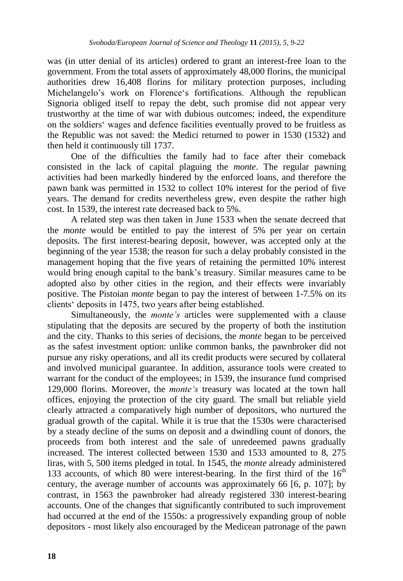was (in utter denial of its articles) ordered to grant an interest-free loan to the government. From the total assets of approximately 48,000 florins, the municipal authorities drew 16,408 florins for military protection purposes, including Michelangelo's work on Florence's fortifications. Although the republican Signoria obliged itself to repay the debt, such promise did not appear very trustworthy at the time of war with dubious outcomes; indeed, the expenditure on the soldiers' wages and defence facilities eventually proved to be fruitless as the Republic was not saved: the Medici returned to power in 1530 (1532) and then held it continuously till 1737.

One of the difficulties the family had to face after their comeback consisted in the lack of capital plaguing the *monte*. The regular pawning activities had been markedly hindered by the enforced loans, and therefore the pawn bank was permitted in 1532 to collect 10% interest for the period of five years. The demand for credits nevertheless grew, even despite the rather high cost. In 1539, the interest rate decreased back to 5%.

A related step was then taken in June 1533 when the senate decreed that the *monte* would be entitled to pay the interest of 5% per year on certain deposits. The first interest-bearing deposit, however, was accepted only at the beginning of the year 1538; the reason for such a delay probably consisted in the management hoping that the five years of retaining the permitted 10% interest would bring enough capital to the bank's treasury. Similar measures came to be adopted also by other cities in the region, and their effects were invariably positive. The Pistoian *monte* began to pay the interest of between 1-7.5% on its clients' deposits in 1475, two years after being established.

Simultaneously, the *monte's* articles were supplemented with a clause stipulating that the deposits are secured by the property of both the institution and the city. Thanks to this series of decisions, the *monte* began to be perceived as the safest investment option: unlike common banks, the pawnbroker did not pursue any risky operations, and all its credit products were secured by collateral and involved municipal guarantee. In addition, assurance tools were created to warrant for the conduct of the employees; in 1539, the insurance fund comprised 129,000 florins. Moreover, the *monte's* treasury was located at the town hall offices, enjoying the protection of the city guard. The small but reliable yield clearly attracted a comparatively high number of depositors, who nurtured the gradual growth of the capital. While it is true that the 1530s were characterised by a steady decline of the sums on deposit and a dwindling count of donors, the proceeds from both interest and the sale of unredeemed pawns gradually increased. The interest collected between 1530 and 1533 amounted to 8, 275 liras, with 5, 500 items pledged in total. In 1545, the *monte* already administered 133 accounts, of which 80 were interest-bearing. In the first third of the  $16<sup>th</sup>$ century, the average number of accounts was approximately 66 [6, p. 107]; by contrast, in 1563 the pawnbroker had already registered 330 interest-bearing accounts. One of the changes that significantly contributed to such improvement had occurred at the end of the 1550s: a progressively expanding group of noble depositors - most likely also encouraged by the Medicean patronage of the pawn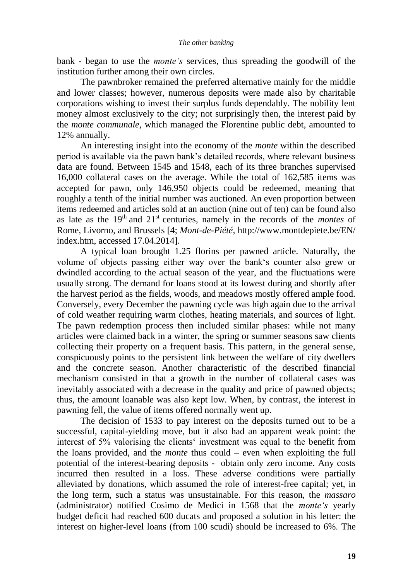#### *The other banking*

bank - began to use the *monte's* services, thus spreading the goodwill of the institution further among their own circles.

The pawnbroker remained the preferred alternative mainly for the middle and lower classes; however, numerous deposits were made also by charitable corporations wishing to invest their surplus funds dependably. The nobility lent money almost exclusively to the city; not surprisingly then, the interest paid by the *monte communale*, which managed the Florentine public debt, amounted to 12% annually.

An interesting insight into the economy of the *monte* within the described period is available via the pawn bank's detailed records, where relevant business data are found. Between 1545 and 1548, each of its three branches supervised 16,000 collateral cases on the average. While the total of 162,585 items was accepted for pawn, only 146,950 objects could be redeemed, meaning that roughly a tenth of the initial number was auctioned. An even proportion between items redeemed and articles sold at an auction (nine out of ten) can be found also as late as the  $19<sup>th</sup>$  and  $21<sup>st</sup>$  centuries, namely in the records of the *montes* of Rome, Livorno, and Brussels [4; *Mont-de-Piété*, http://www.montdepiete.be/EN/ index.htm, accessed 17.04.2014].

A typical loan brought 1.25 florins per pawned article. Naturally, the volume of objects passing either way over the bank's counter also grew or dwindled according to the actual season of the year, and the fluctuations were usually strong. The demand for loans stood at its lowest during and shortly after the harvest period as the fields, woods, and meadows mostly offered ample food. Conversely, every December the pawning cycle was high again due to the arrival of cold weather requiring warm clothes, heating materials, and sources of light. The pawn redemption process then included similar phases: while not many articles were claimed back in a winter, the spring or summer seasons saw clients collecting their property on a frequent basis. This pattern, in the general sense, conspicuously points to the persistent link between the welfare of city dwellers and the concrete season. Another characteristic of the described financial mechanism consisted in that a growth in the number of collateral cases was inevitably associated with a decrease in the quality and price of pawned objects; thus, the amount loanable was also kept low. When, by contrast, the interest in pawning fell, the value of items offered normally went up.

The decision of 1533 to pay interest on the deposits turned out to be a successful, capital-yielding move, but it also had an apparent weak point: the interest of 5% valorising the clients' investment was equal to the benefit from the loans provided, and the *monte* thus could – even when exploiting the full potential of the interest-bearing deposits - obtain only zero income. Any costs incurred then resulted in a loss. These adverse conditions were partially alleviated by donations, which assumed the role of interest-free capital; yet, in the long term, such a status was unsustainable. For this reason, the *massaro* (administrator) notified Cosimo de Medici in 1568 that the *monte's* yearly budget deficit had reached 600 ducats and proposed a solution in his letter: the interest on higher-level loans (from 100 scudi) should be increased to 6%. The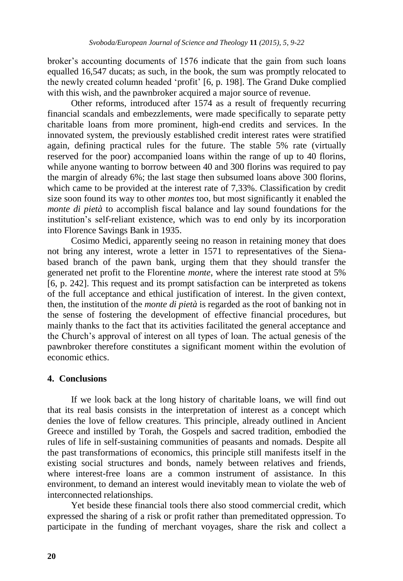broker's accounting documents of 1576 indicate that the gain from such loans equalled 16,547 ducats; as such, in the book, the sum was promptly relocated to the newly created column headed 'profit' [6, p. 198]. The Grand Duke complied with this wish, and the pawnbroker acquired a major source of revenue.

Other reforms, introduced after 1574 as a result of frequently recurring financial scandals and embezzlements, were made specifically to separate petty charitable loans from more prominent, high-end credits and services. In the innovated system, the previously established credit interest rates were stratified again, defining practical rules for the future. The stable 5% rate (virtually reserved for the poor) accompanied loans within the range of up to 40 florins, while anyone wanting to borrow between 40 and 300 florins was required to pay the margin of already 6%; the last stage then subsumed loans above 300 florins, which came to be provided at the interest rate of 7,33%. Classification by credit size soon found its way to other *montes* too, but most significantly it enabled the *monte di pietà* to accomplish fiscal balance and lay sound foundations for the institution's self-reliant existence, which was to end only by its incorporation into Florence Savings Bank in 1935.

Cosimo Medici, apparently seeing no reason in retaining money that does not bring any interest, wrote a letter in 1571 to representatives of the Sienabased branch of the pawn bank, urging them that they should transfer the generated net profit to the Florentine *monte*, where the interest rate stood at 5% [6, p. 242]. This request and its prompt satisfaction can be interpreted as tokens of the full acceptance and ethical justification of interest. In the given context, then, the institution of the *monte di pietà* is regarded as the root of banking not in the sense of fostering the development of effective financial procedures, but mainly thanks to the fact that its activities facilitated the general acceptance and the Church's approval of interest on all types of loan. The actual genesis of the pawnbroker therefore constitutes a significant moment within the evolution of economic ethics.

## **4. Conclusions**

If we look back at the long history of charitable loans, we will find out that its real basis consists in the interpretation of interest as a concept which denies the love of fellow creatures. This principle, already outlined in Ancient Greece and instilled by Torah, the Gospels and sacred tradition, embodied the rules of life in self-sustaining communities of peasants and nomads. Despite all the past transformations of economics, this principle still manifests itself in the existing social structures and bonds, namely between relatives and friends, where interest-free loans are a common instrument of assistance. In this environment, to demand an interest would inevitably mean to violate the web of interconnected relationships.

Yet beside these financial tools there also stood commercial credit, which expressed the sharing of a risk or profit rather than premeditated oppression. To participate in the funding of merchant voyages, share the risk and collect a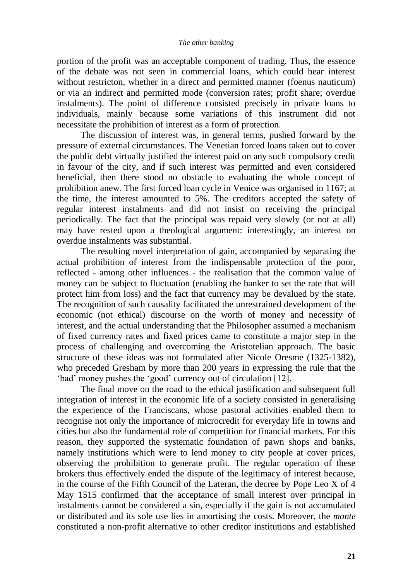portion of the profit was an acceptable component of trading. Thus, the essence of the debate was not seen in commercial loans, which could bear interest without restricton, whether in a direct and permitted manner (foenus nauticum) or via an indirect and permitted mode (conversion rates; profit share; overdue instalments). The point of difference consisted precisely in private loans to individuals, mainly because some variations of this instrument did not necessitate the prohibition of interest as a form of protection.

The discussion of interest was, in general terms, pushed forward by the pressure of external circumstances. The Venetian forced loans taken out to cover the public debt virtually justified the interest paid on any such compulsory credit in favour of the city, and if such interest was permitted and even considered beneficial, then there stood no obstacle to evaluating the whole concept of prohibition anew. The first forced loan cycle in Venice was organised in 1167; at the time, the interest amounted to 5%. The creditors accepted the safety of regular interest instalments and did not insist on receiving the principal periodically. The fact that the principal was repaid very slowly (or not at all) may have rested upon a theological argument: interestingly, an interest on overdue instalments was substantial.

The resulting novel interpretation of gain, accompanied by separating the actual prohibition of interest from the indispensable protection of the poor, reflected - among other influences - the realisation that the common value of money can be subject to fluctuation (enabling the banker to set the rate that will protect him from loss) and the fact that currency may be devalued by the state. The recognition of such causality facilitated the unrestrained development of the economic (not ethical) discourse on the worth of money and necessity of interest, and the actual understanding that the Philosopher assumed a mechanism of fixed currency rates and fixed prices came to constitute a major step in the process of challenging and overcoming the Aristotelian approach. The basic structure of these ideas was not formulated after Nicole Oresme (1325-1382), who preceded Gresham by more than 200 years in expressing the rule that the 'bad' money pushes the 'good' currency out of circulation [12].

The final move on the road to the ethical justification and subsequent full integration of interest in the economic life of a society consisted in generalising the experience of the Franciscans, whose pastoral activities enabled them to recognise not only the importance of microcredit for everyday life in towns and cities but also the fundamental role of competition for financial markets. For this reason, they supported the systematic foundation of pawn shops and banks, namely institutions which were to lend money to city people at cover prices, observing the prohibition to generate profit. The regular operation of these brokers thus effectively ended the dispute of the legitimacy of interest because, in the course of the Fifth Council of the Lateran, the decree by Pope Leo X of 4 May 1515 confirmed that the acceptance of small interest over principal in instalments cannot be considered a sin, especially if the gain is not accumulated or distributed and its sole use lies in amortising the costs. Moreover, the *monte* constituted a non-profit alternative to other creditor institutions and established